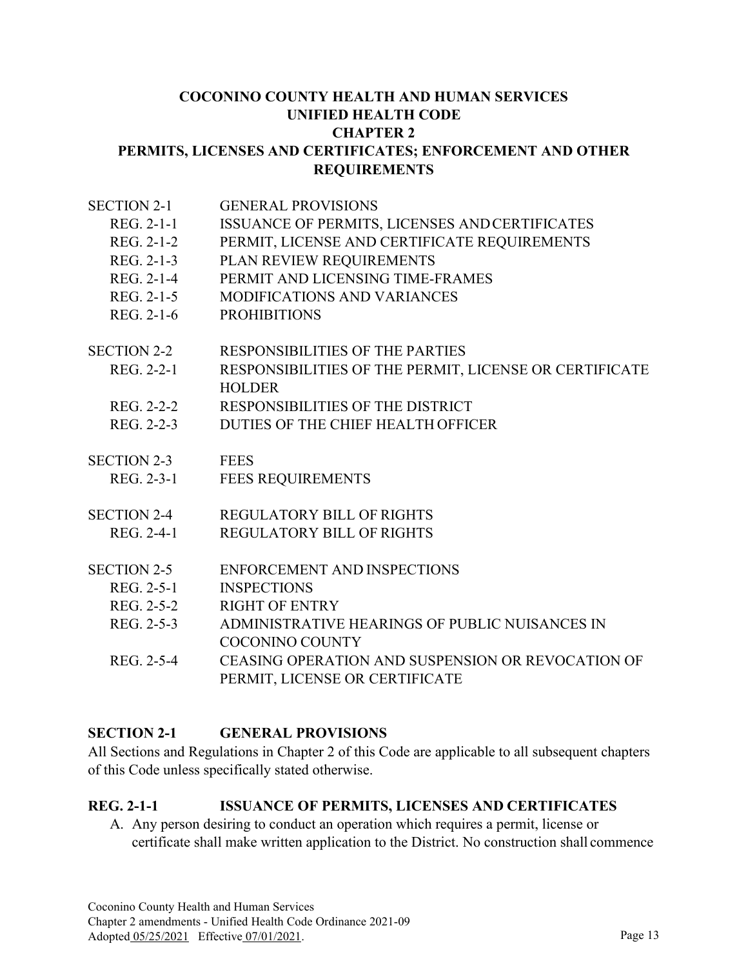#### **COCONINO COUNTY HEALTH AND HUMAN SERVICES UNIFIED HEALTH CODE CHAPTER 2 PERMITS, LICENSES AND CERTIFICATES; ENFORCEMENT AND OTHER REQUIREMENTS**

| <b>SECTION 2-1</b> | <b>GENERAL PROVISIONS</b>                                               |  |  |  |
|--------------------|-------------------------------------------------------------------------|--|--|--|
| REG. 2-1-1         | ISSUANCE OF PERMITS, LICENSES AND CERTIFICATES                          |  |  |  |
| REG. 2-1-2         | PERMIT, LICENSE AND CERTIFICATE REQUIREMENTS                            |  |  |  |
| REG. 2-1-3         | PLAN REVIEW REQUIREMENTS                                                |  |  |  |
| REG. 2-1-4         | PERMIT AND LICENSING TIME-FRAMES                                        |  |  |  |
| REG. 2-1-5         | <b>MODIFICATIONS AND VARIANCES</b>                                      |  |  |  |
| REG. 2-1-6         | <b>PROHIBITIONS</b>                                                     |  |  |  |
| <b>SECTION 2-2</b> | <b>RESPONSIBILITIES OF THE PARTIES</b>                                  |  |  |  |
| REG. 2-2-1         | RESPONSIBILITIES OF THE PERMIT, LICENSE OR CERTIFICATE<br><b>HOLDER</b> |  |  |  |
| REG. 2-2-2         | RESPONSIBILITIES OF THE DISTRICT                                        |  |  |  |
| REG. 2-2-3         | DUTIES OF THE CHIEF HEALTH OFFICER                                      |  |  |  |
| <b>SECTION 2-3</b> | <b>FEES</b>                                                             |  |  |  |
| REG. 2-3-1         | <b>FEES REQUIREMENTS</b>                                                |  |  |  |
| <b>SECTION 2-4</b> | <b>REGULATORY BILL OF RIGHTS</b>                                        |  |  |  |
| REG. 2-4-1         | <b>REGULATORY BILL OF RIGHTS</b>                                        |  |  |  |
| <b>SECTION 2-5</b> | <b>ENFORCEMENT AND INSPECTIONS</b>                                      |  |  |  |
| REG. 2-5-1         | <b>INSPECTIONS</b>                                                      |  |  |  |
| REG. 2-5-2         | <b>RIGHT OF ENTRY</b>                                                   |  |  |  |
| REG. 2-5-3         | ADMINISTRATIVE HEARINGS OF PUBLIC NUISANCES IN                          |  |  |  |
|                    | <b>COCONINO COUNTY</b>                                                  |  |  |  |
| REG. 2-5-4         | CEASING OPERATION AND SUSPENSION OR REVOCATION OF                       |  |  |  |
|                    | PERMIT, LICENSE OR CERTIFICATE                                          |  |  |  |

#### **SECTION 2-1 GENERAL PROVISIONS**

All Sections and Regulations in Chapter 2 of this Code are applicable to all subsequent chapters of this Code unless specifically stated otherwise.

#### **REG. 2-1-1 ISSUANCE OF PERMITS, LICENSES AND CERTIFICATES**

A. Any person desiring to conduct an operation which requires a permit, license or certificate shall make written application to the District. No construction shall commence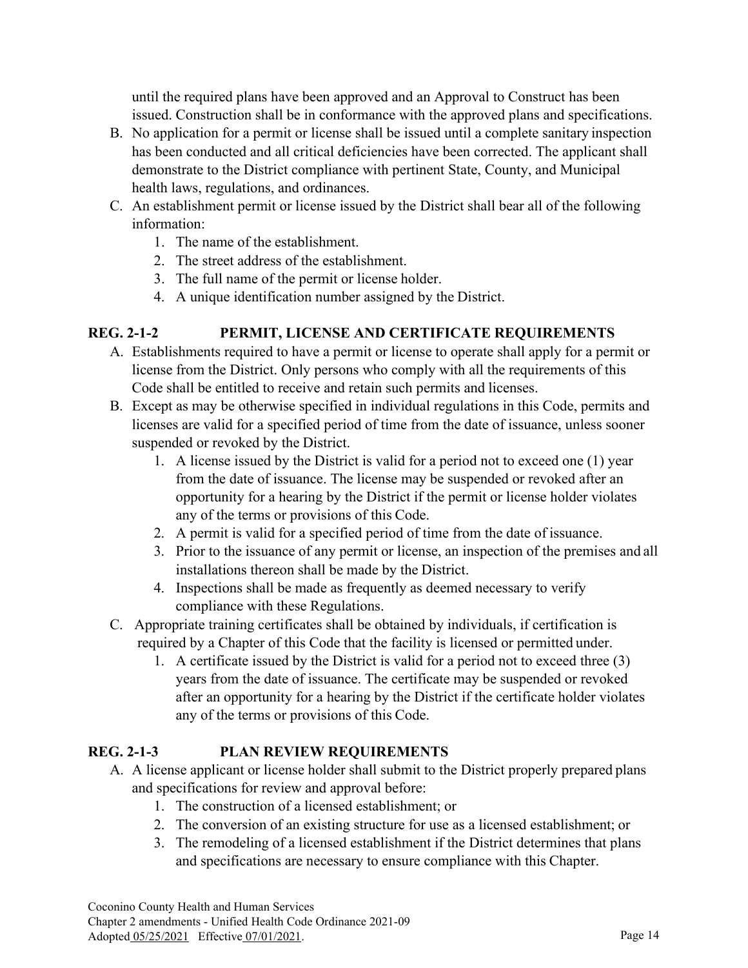until the required plans have been approved and an Approval to Construct has been issued. Construction shall be in conformance with the approved plans and specifications.

- B. No application for a permit or license shall be issued until a complete sanitary inspection has been conducted and all critical deficiencies have been corrected. The applicant shall demonstrate to the District compliance with pertinent State, County, and Municipal health laws, regulations, and ordinances.
- C. An establishment permit or license issued by the District shall bear all of the following information:
	- 1. The name of the establishment.
	- 2. The street address of the establishment.
	- 3. The full name of the permit or license holder.
	- 4. A unique identification number assigned by the District.

## **REG. 2-1-2 PERMIT, LICENSE AND CERTIFICATE REQUIREMENTS**

- A. Establishments required to have a permit or license to operate shall apply for a permit or license from the District. Only persons who comply with all the requirements of this Code shall be entitled to receive and retain such permits and licenses.
- B. Except as may be otherwise specified in individual regulations in this Code, permits and licenses are valid for a specified period of time from the date of issuance, unless sooner suspended or revoked by the District.
	- 1. A license issued by the District is valid for a period not to exceed one (1) year from the date of issuance. The license may be suspended or revoked after an opportunity for a hearing by the District if the permit or license holder violates any of the terms or provisions of this Code.
	- 2. A permit is valid for a specified period of time from the date of issuance.
	- 3. Prior to the issuance of any permit or license, an inspection of the premises and all installations thereon shall be made by the District.
	- 4. Inspections shall be made as frequently as deemed necessary to verify compliance with these Regulations.
- C. Appropriate training certificates shall be obtained by individuals, if certification is required by a Chapter of this Code that the facility is licensed or permitted under.
	- 1. A certificate issued by the District is valid for a period not to exceed three (3) years from the date of issuance. The certificate may be suspended or revoked after an opportunity for a hearing by the District if the certificate holder violates any of the terms or provisions of this Code.

#### **REG. 2-1-3 PLAN REVIEW REQUIREMENTS**

- A. A license applicant or license holder shall submit to the District properly prepared plans and specifications for review and approval before:
	- 1. The construction of a licensed establishment; or
	- 2. The conversion of an existing structure for use as a licensed establishment; or
	- 3. The remodeling of a licensed establishment if the District determines that plans and specifications are necessary to ensure compliance with this Chapter.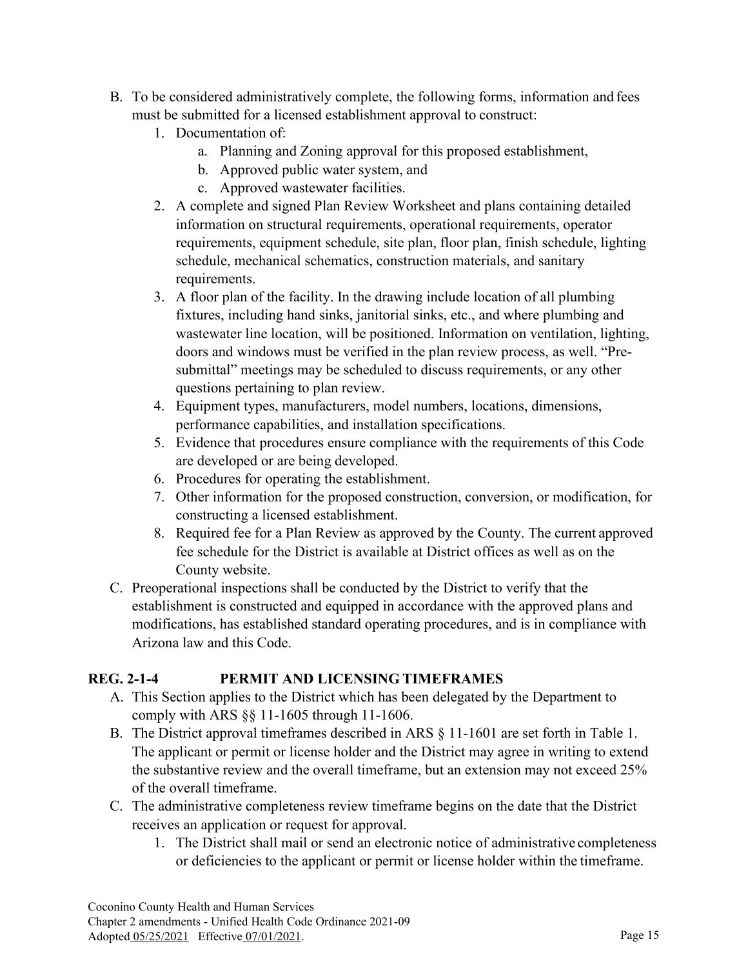- B. To be considered administratively complete, the following forms, information and fees must be submitted for a licensed establishment approval to construct:
	- 1. Documentation of:
		- a. Planning and Zoning approval for this proposed establishment,
		- b. Approved public water system, and
		- c. Approved wastewater facilities.
	- 2. A complete and signed Plan Review Worksheet and plans containing detailed information on structural requirements, operational requirements, operator requirements, equipment schedule, site plan, floor plan, finish schedule, lighting schedule, mechanical schematics, construction materials, and sanitary requirements.
	- 3. A floor plan of the facility. In the drawing include location of all plumbing fixtures, including hand sinks, janitorial sinks, etc., and where plumbing and wastewater line location, will be positioned. Information on ventilation, lighting, doors and windows must be verified in the plan review process, as well. "Presubmittal" meetings may be scheduled to discuss requirements, or any other questions pertaining to plan review.
	- 4. Equipment types, manufacturers, model numbers, locations, dimensions, performance capabilities, and installation specifications.
	- 5. Evidence that procedures ensure compliance with the requirements of this Code are developed or are being developed.
	- 6. Procedures for operating the establishment.
	- 7. Other information for the proposed construction, conversion, or modification, for constructing a licensed establishment.
	- 8. Required fee for a Plan Review as approved by the County. The current approved fee schedule for the District is available at District offices as well as on the County website.
- C. Preoperational inspections shall be conducted by the District to verify that the establishment is constructed and equipped in accordance with the approved plans and modifications, has established standard operating procedures, and is in compliance with Arizona law and this Code.

## **REG. 2-1-4 PERMIT AND LICENSING TIMEFRAMES**

- A. This Section applies to the District which has been delegated by the Department to comply with ARS §§ 11-1605 through 11-1606.
- B. The District approval timeframes described in ARS § 11-1601 are set forth in Table 1. The applicant or permit or license holder and the District may agree in writing to extend the substantive review and the overall timeframe, but an extension may not exceed 25% of the overall timeframe.
- C. The administrative completeness review timeframe begins on the date that the District receives an application or request for approval.
	- 1. The District shall mail or send an electronic notice of administrative completeness or deficiencies to the applicant or permit or license holder within the timeframe.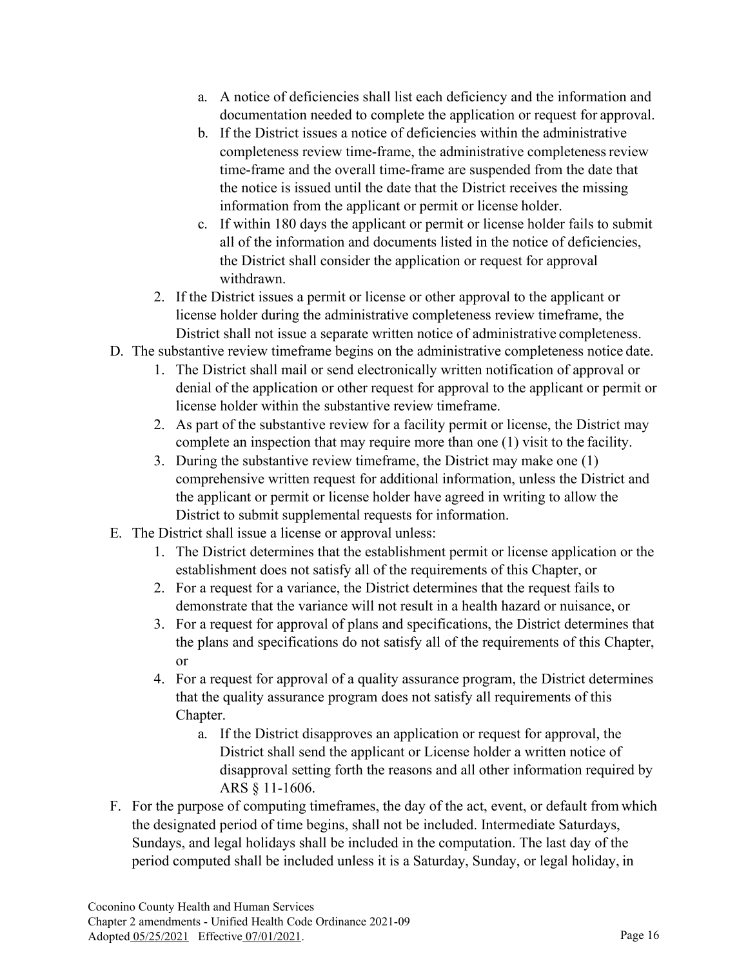- a. A notice of deficiencies shall list each deficiency and the information and documentation needed to complete the application or request for approval.
- b. If the District issues a notice of deficiencies within the administrative completeness review time-frame, the administrative completeness review time-frame and the overall time-frame are suspended from the date that the notice is issued until the date that the District receives the missing information from the applicant or permit or license holder.
- c. If within 180 days the applicant or permit or license holder fails to submit all of the information and documents listed in the notice of deficiencies, the District shall consider the application or request for approval withdrawn.
- 2. If the District issues a permit or license or other approval to the applicant or license holder during the administrative completeness review timeframe, the District shall not issue a separate written notice of administrative completeness.
- D. The substantive review timeframe begins on the administrative completeness notice date.
	- 1. The District shall mail or send electronically written notification of approval or denial of the application or other request for approval to the applicant or permit or license holder within the substantive review timeframe.
	- 2. As part of the substantive review for a facility permit or license, the District may complete an inspection that may require more than one (1) visit to the facility.
	- 3. During the substantive review timeframe, the District may make one (1) comprehensive written request for additional information, unless the District and the applicant or permit or license holder have agreed in writing to allow the District to submit supplemental requests for information.
- E. The District shall issue a license or approval unless:
	- 1. The District determines that the establishment permit or license application or the establishment does not satisfy all of the requirements of this Chapter, or
	- 2. For a request for a variance, the District determines that the request fails to demonstrate that the variance will not result in a health hazard or nuisance, or
	- 3. For a request for approval of plans and specifications, the District determines that the plans and specifications do not satisfy all of the requirements of this Chapter, or
	- 4. For a request for approval of a quality assurance program, the District determines that the quality assurance program does not satisfy all requirements of this Chapter.
		- a. If the District disapproves an application or request for approval, the District shall send the applicant or License holder a written notice of disapproval setting forth the reasons and all other information required by ARS § 11-1606.
- F. For the purpose of computing timeframes, the day of the act, event, or default from which the designated period of time begins, shall not be included. Intermediate Saturdays, Sundays, and legal holidays shall be included in the computation. The last day of the period computed shall be included unless it is a Saturday, Sunday, or legal holiday, in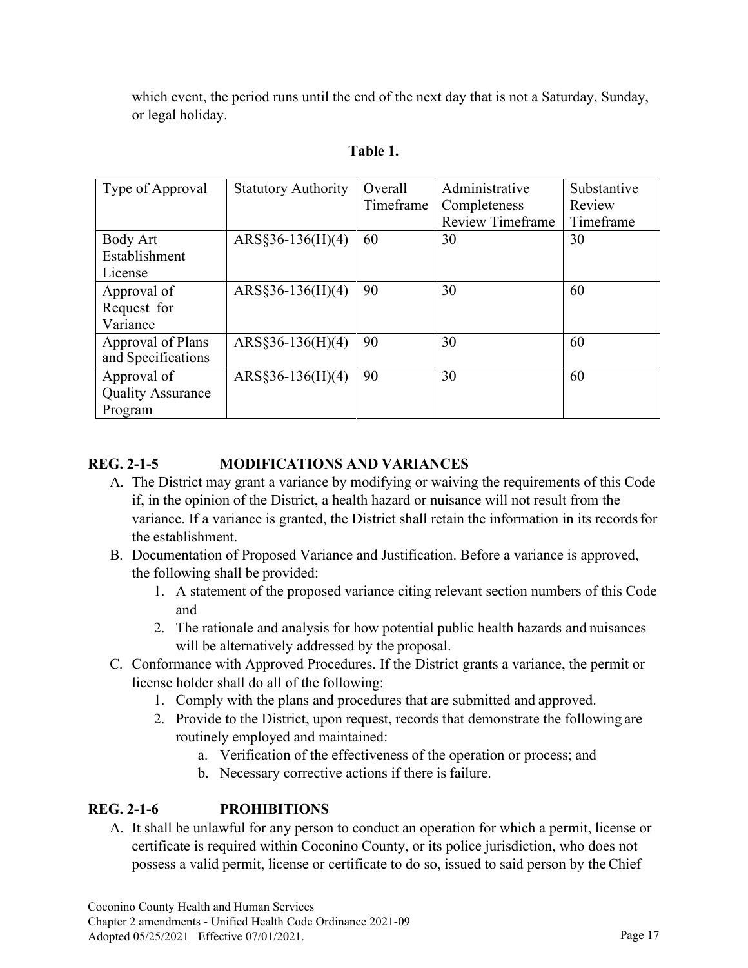which event, the period runs until the end of the next day that is not a Saturday, Sunday, or legal holiday.

| Type of Approval         | <b>Statutory Authority</b> | Overall   | Administrative          | Substantive |
|--------------------------|----------------------------|-----------|-------------------------|-------------|
|                          |                            | Timeframe | Completeness            | Review      |
|                          |                            |           | <b>Review Timeframe</b> | Timeframe   |
| Body Art                 | $ARS§36-136(H)(4)$         | 60        | 30                      | 30          |
| Establishment            |                            |           |                         |             |
| License                  |                            |           |                         |             |
| Approval of              | $ARS§36-136(H)(4)$         | 90        | 30                      | 60          |
| Request for              |                            |           |                         |             |
| Variance                 |                            |           |                         |             |
| Approval of Plans        | $ARS§36-136(H)(4)$         | 90        | 30                      | 60          |
| and Specifications       |                            |           |                         |             |
| Approval of              | $ARS§36-136(H)(4)$         | 90        | 30                      | 60          |
| <b>Quality Assurance</b> |                            |           |                         |             |
| Program                  |                            |           |                         |             |

# **Table 1.**

# **REG. 2-1-5 MODIFICATIONS AND VARIANCES**

- A. The District may grant a variance by modifying or waiving the requirements of this Code if, in the opinion of the District, a health hazard or nuisance will not result from the variance. If a variance is granted, the District shall retain the information in its recordsfor the establishment.
- B. Documentation of Proposed Variance and Justification. Before a variance is approved, the following shall be provided:
	- 1. A statement of the proposed variance citing relevant section numbers of this Code and
	- 2. The rationale and analysis for how potential public health hazards and nuisances will be alternatively addressed by the proposal.
- C. Conformance with Approved Procedures. If the District grants a variance, the permit or license holder shall do all of the following:
	- 1. Comply with the plans and procedures that are submitted and approved.
	- 2. Provide to the District, upon request, records that demonstrate the following are routinely employed and maintained:
		- a. Verification of the effectiveness of the operation or process; and
		- b. Necessary corrective actions if there is failure.

# **REG. 2-1-6 PROHIBITIONS**

A. It shall be unlawful for any person to conduct an operation for which a permit, license or certificate is required within Coconino County, or its police jurisdiction, who does not possess a valid permit, license or certificate to do so, issued to said person by theChief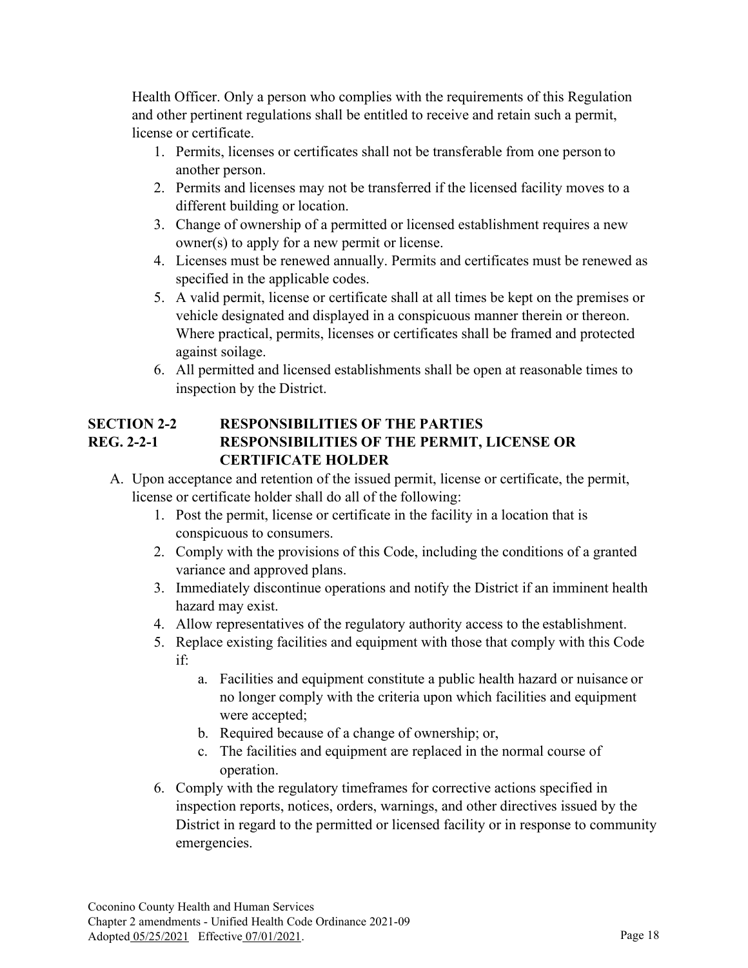Health Officer. Only a person who complies with the requirements of this Regulation and other pertinent regulations shall be entitled to receive and retain such a permit, license or certificate.

- 1. Permits, licenses or certificates shall not be transferable from one person to another person.
- 2. Permits and licenses may not be transferred if the licensed facility moves to a different building or location.
- 3. Change of ownership of a permitted or licensed establishment requires a new owner(s) to apply for a new permit or license.
- 4. Licenses must be renewed annually. Permits and certificates must be renewed as specified in the applicable codes.
- 5. A valid permit, license or certificate shall at all times be kept on the premises or vehicle designated and displayed in a conspicuous manner therein or thereon. Where practical, permits, licenses or certificates shall be framed and protected against soilage.
- 6. All permitted and licensed establishments shall be open at reasonable times to inspection by the District.

#### **SECTION 2-2 RESPONSIBILITIES OF THE PARTIES REG. 2-2-1 RESPONSIBILITIES OF THE PERMIT, LICENSE OR CERTIFICATE HOLDER**

- A. Upon acceptance and retention of the issued permit, license or certificate, the permit, license or certificate holder shall do all of the following:
	- 1. Post the permit, license or certificate in the facility in a location that is conspicuous to consumers.
	- 2. Comply with the provisions of this Code, including the conditions of a granted variance and approved plans.
	- 3. Immediately discontinue operations and notify the District if an imminent health hazard may exist.
	- 4. Allow representatives of the regulatory authority access to the establishment.
	- 5. Replace existing facilities and equipment with those that comply with this Code if:
		- a. Facilities and equipment constitute a public health hazard or nuisance or no longer comply with the criteria upon which facilities and equipment were accepted;
		- b. Required because of a change of ownership; or,
		- c. The facilities and equipment are replaced in the normal course of operation.
	- 6. Comply with the regulatory timeframes for corrective actions specified in inspection reports, notices, orders, warnings, and other directives issued by the District in regard to the permitted or licensed facility or in response to community emergencies.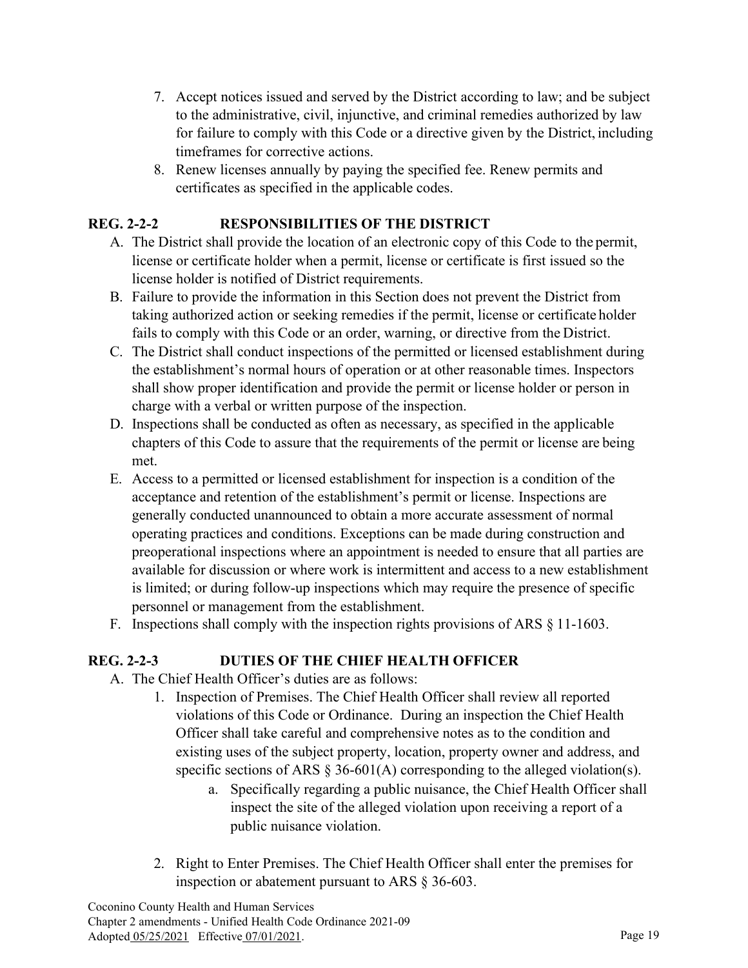- 7. Accept notices issued and served by the District according to law; and be subject to the administrative, civil, injunctive, and criminal remedies authorized by law for failure to comply with this Code or a directive given by the District, including timeframes for corrective actions.
- 8. Renew licenses annually by paying the specified fee. Renew permits and certificates as specified in the applicable codes.

# **REG. 2-2-2 RESPONSIBILITIES OF THE DISTRICT**

- A. The District shall provide the location of an electronic copy of this Code to the permit, license or certificate holder when a permit, license or certificate is first issued so the license holder is notified of District requirements.
- B. Failure to provide the information in this Section does not prevent the District from taking authorized action or seeking remedies if the permit, license or certificate holder fails to comply with this Code or an order, warning, or directive from the District.
- C. The District shall conduct inspections of the permitted or licensed establishment during the establishment's normal hours of operation or at other reasonable times. Inspectors shall show proper identification and provide the permit or license holder or person in charge with a verbal or written purpose of the inspection.
- D. Inspections shall be conducted as often as necessary, as specified in the applicable chapters of this Code to assure that the requirements of the permit or license are being met.
- E. Access to a permitted or licensed establishment for inspection is a condition of the acceptance and retention of the establishment's permit or license. Inspections are generally conducted unannounced to obtain a more accurate assessment of normal operating practices and conditions. Exceptions can be made during construction and preoperational inspections where an appointment is needed to ensure that all parties are available for discussion or where work is intermittent and access to a new establishment is limited; or during follow-up inspections which may require the presence of specific personnel or management from the establishment.
- F. Inspections shall comply with the inspection rights provisions of ARS § 11-1603.

## **REG. 2-2-3 DUTIES OF THE CHIEF HEALTH OFFICER**

- A. The Chief Health Officer's duties are as follows:
	- 1. Inspection of Premises. The Chief Health Officer shall review all reported violations of this Code or Ordinance. During an inspection the Chief Health Officer shall take careful and comprehensive notes as to the condition and existing uses of the subject property, location, property owner and address, and specific sections of ARS  $\S 36-601(A)$  corresponding to the alleged violation(s).
		- a. Specifically regarding a public nuisance, the Chief Health Officer shall inspect the site of the alleged violation upon receiving a report of a public nuisance violation.
	- 2. Right to Enter Premises. The Chief Health Officer shall enter the premises for inspection or abatement pursuant to ARS § 36-603.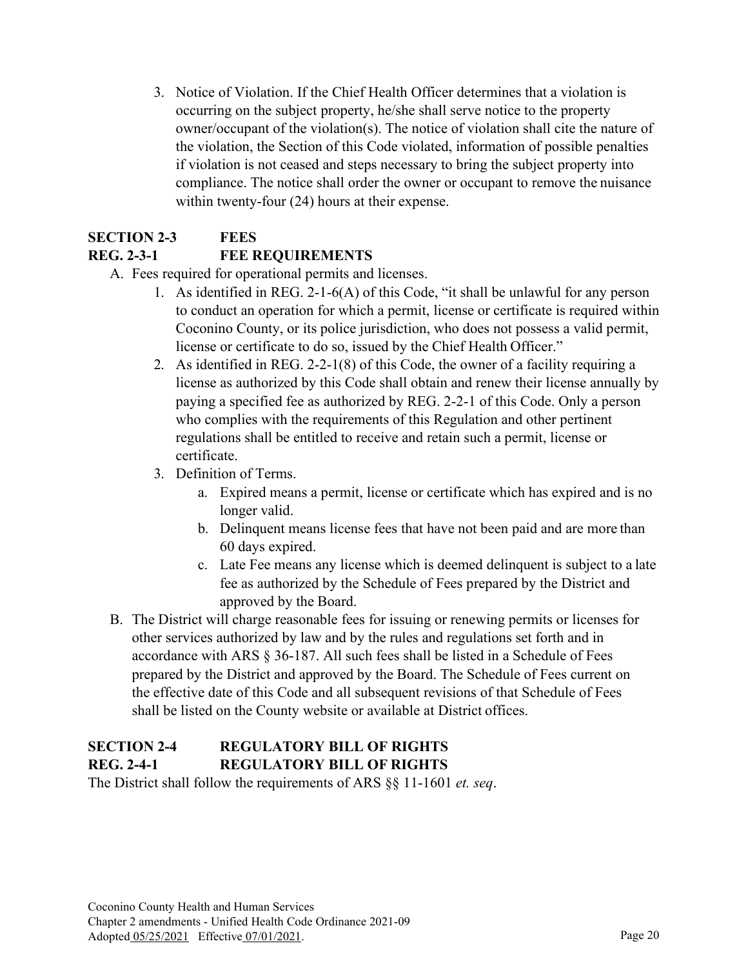3. Notice of Violation. If the Chief Health Officer determines that a violation is occurring on the subject property, he/she shall serve notice to the property owner/occupant of the violation(s). The notice of violation shall cite the nature of the violation, the Section of this Code violated, information of possible penalties if violation is not ceased and steps necessary to bring the subject property into compliance. The notice shall order the owner or occupant to remove the nuisance within twenty-four (24) hours at their expense.

# **SECTION 2-3 FEES REG. 2-3-1 FEE REQUIREMENTS**

- A. Fees required for operational permits and licenses.
	- 1. As identified in REG. 2-1-6(A) of this Code, "it shall be unlawful for any person to conduct an operation for which a permit, license or certificate is required within Coconino County, or its police jurisdiction, who does not possess a valid permit, license or certificate to do so, issued by the Chief Health Officer."
	- 2. As identified in REG. 2-2-1(8) of this Code, the owner of a facility requiring a license as authorized by this Code shall obtain and renew their license annually by paying a specified fee as authorized by REG. 2-2-1 of this Code. Only a person who complies with the requirements of this Regulation and other pertinent regulations shall be entitled to receive and retain such a permit, license or certificate.
	- 3. Definition of Terms.
		- a. Expired means a permit, license or certificate which has expired and is no longer valid.
		- b. Delinquent means license fees that have not been paid and are more than 60 days expired.
		- c. Late Fee means any license which is deemed delinquent is subject to a late fee as authorized by the Schedule of Fees prepared by the District and approved by the Board.
- B. The District will charge reasonable fees for issuing or renewing permits or licenses for other services authorized by law and by the rules and regulations set forth and in accordance with ARS § 36-187. All such fees shall be listed in a Schedule of Fees prepared by the District and approved by the Board. The Schedule of Fees current on the effective date of this Code and all subsequent revisions of that Schedule of Fees shall be listed on the County website or available at District offices.

# **SECTION 2-4 REGULATORY BILL OF RIGHTS REG. 2-4-1 REGULATORY BILL OF RIGHTS**

The District shall follow the requirements of ARS §§ 11-1601 *et. seq*.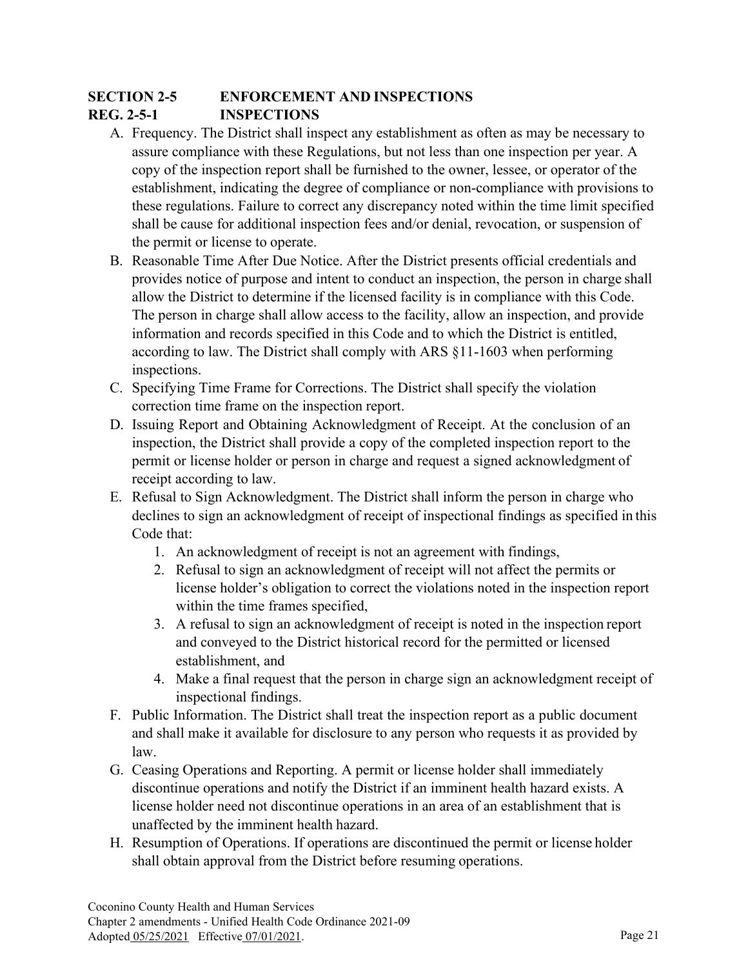# **SECTION 2-5 ENFORCEMENT AND INSPECTIONS REG. 2-5-1 INSPECTIONS**

- A. Frequency. The District shall inspect any establishment as often as may be necessary to assure compliance with these Regulations, but not less than one inspection per year. A copy of the inspection report shall be furnished to the owner, lessee, or operator of the establishment, indicating the degree of compliance or non-compliance with provisions to these regulations. Failure to correct any discrepancy noted within the time limit specified shall be cause for additional inspection fees and/or denial, revocation, or suspension of the permit or license to operate.
- B. Reasonable Time After Due Notice. After the District presents official credentials and provides notice of purpose and intent to conduct an inspection, the person in charge shall allow the District to determine if the licensed facility is in compliance with this Code. The person in charge shall allow access to the facility, allow an inspection, and provide information and records specified in this Code and to which the District is entitled, according to law. The District shall comply with ARS §11-1603 when performing inspections.
- C. Specifying Time Frame for Corrections. The District shall specify the violation correction time frame on the inspection report.
- D. Issuing Report and Obtaining Acknowledgment of Receipt. At the conclusion of an inspection, the District shall provide a copy of the completed inspection report to the permit or license holder or person in charge and request a signed acknowledgment of receipt according to law.
- E. Refusal to Sign Acknowledgment. The District shall inform the person in charge who declines to sign an acknowledgment of receipt of inspectional findings as specified in this Code that:
	- 1. An acknowledgment of receipt is not an agreement with findings,
	- 2. Refusal to sign an acknowledgment of receipt will not affect the permits or license holder's obligation to correct the violations noted in the inspection report within the time frames specified,
	- 3. A refusal to sign an acknowledgment of receipt is noted in the inspection report and conveyed to the District historical record for the permitted or licensed establishment, and
	- 4. Make a final request that the person in charge sign an acknowledgment receipt of inspectional findings.
- F. Public Information. The District shall treat the inspection report as a public document and shall make it available for disclosure to any person who requests it as provided by law.
- G. Ceasing Operations and Reporting. A permit or license holder shall immediately discontinue operations and notify the District if an imminent health hazard exists. A license holder need not discontinue operations in an area of an establishment that is unaffected by the imminent health hazard.
- H. Resumption of Operations. If operations are discontinued the permit or license holder shall obtain approval from the District before resuming operations.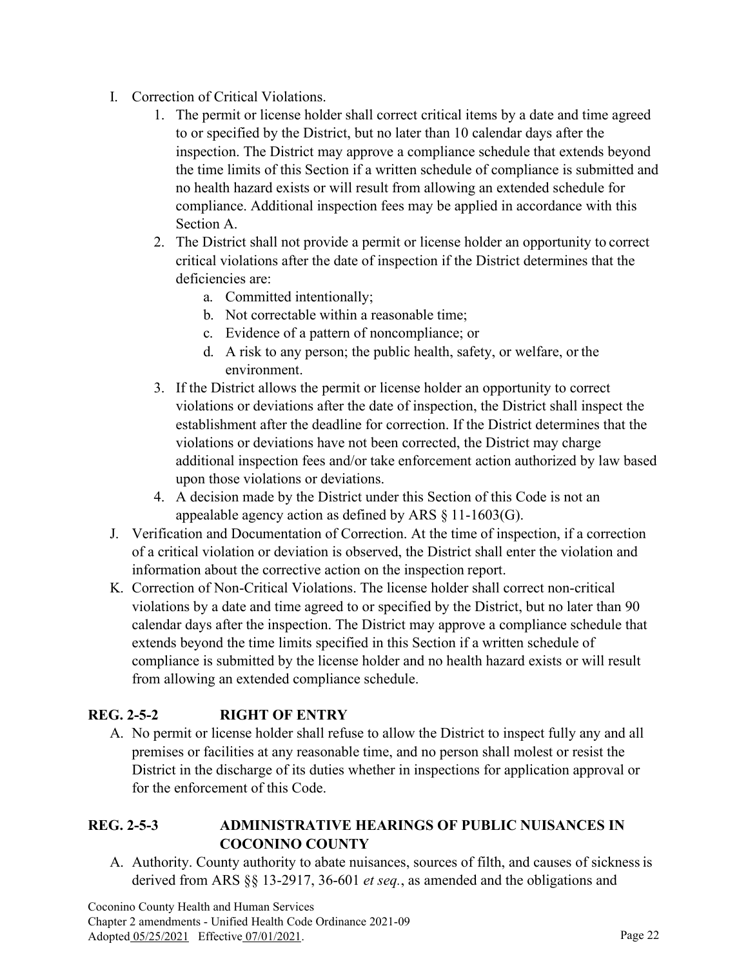- I. Correction of Critical Violations.
	- 1. The permit or license holder shall correct critical items by a date and time agreed to or specified by the District, but no later than 10 calendar days after the inspection. The District may approve a compliance schedule that extends beyond the time limits of this Section if a written schedule of compliance is submitted and no health hazard exists or will result from allowing an extended schedule for compliance. Additional inspection fees may be applied in accordance with this Section A.
	- 2. The District shall not provide a permit or license holder an opportunity to correct critical violations after the date of inspection if the District determines that the deficiencies are:
		- a. Committed intentionally;
		- b. Not correctable within a reasonable time;
		- c. Evidence of a pattern of noncompliance; or
		- d. A risk to any person; the public health, safety, or welfare, or the environment.
	- 3. If the District allows the permit or license holder an opportunity to correct violations or deviations after the date of inspection, the District shall inspect the establishment after the deadline for correction. If the District determines that the violations or deviations have not been corrected, the District may charge additional inspection fees and/or take enforcement action authorized by law based upon those violations or deviations.
	- 4. A decision made by the District under this Section of this Code is not an appealable agency action as defined by ARS § 11-1603(G).
- J. Verification and Documentation of Correction. At the time of inspection, if a correction of a critical violation or deviation is observed, the District shall enter the violation and information about the corrective action on the inspection report.
- K. Correction of Non-Critical Violations. The license holder shall correct non-critical violations by a date and time agreed to or specified by the District, but no later than 90 calendar days after the inspection. The District may approve a compliance schedule that extends beyond the time limits specified in this Section if a written schedule of compliance is submitted by the license holder and no health hazard exists or will result from allowing an extended compliance schedule.

## **REG. 2-5-2 RIGHT OF ENTRY**

A. No permit or license holder shall refuse to allow the District to inspect fully any and all premises or facilities at any reasonable time, and no person shall molest or resist the District in the discharge of its duties whether in inspections for application approval or for the enforcement of this Code.

#### **REG. 2-5-3 ADMINISTRATIVE HEARINGS OF PUBLIC NUISANCES IN COCONINO COUNTY**

A. Authority. County authority to abate nuisances, sources of filth, and causes of sicknessis derived from ARS §§ 13-2917, 36-601 *et seq.*, as amended and the obligations and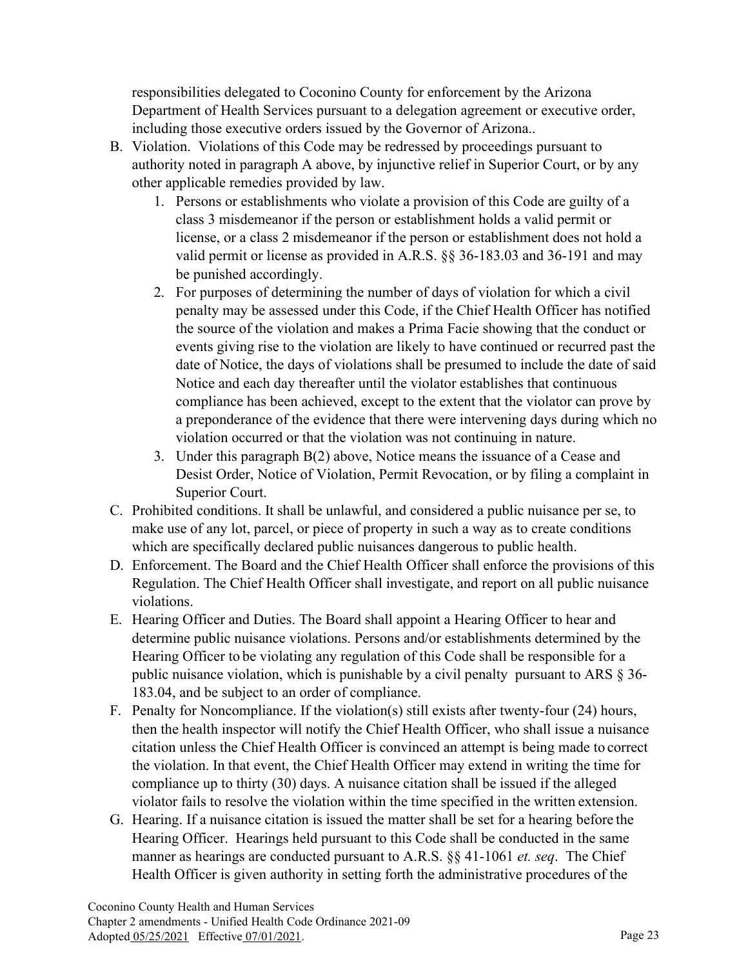responsibilities delegated to Coconino County for enforcement by the Arizona Department of Health Services pursuant to a delegation agreement or executive order, including those executive orders issued by the Governor of Arizona..

- B. Violation. Violations of this Code may be redressed by proceedings pursuant to authority noted in paragraph A above, by injunctive relief in Superior Court, or by any other applicable remedies provided by law.
	- 1. Persons or establishments who violate a provision of this Code are guilty of a class 3 misdemeanor if the person or establishment holds a valid permit or license, or a class 2 misdemeanor if the person or establishment does not hold a valid permit or license as provided in A.R.S. §§ 36-183.03 and 36-191 and may be punished accordingly.
	- 2. For purposes of determining the number of days of violation for which a civil penalty may be assessed under this Code, if the Chief Health Officer has notified the source of the violation and makes a Prima Facie showing that the conduct or events giving rise to the violation are likely to have continued or recurred past the date of Notice, the days of violations shall be presumed to include the date of said Notice and each day thereafter until the violator establishes that continuous compliance has been achieved, except to the extent that the violator can prove by a preponderance of the evidence that there were intervening days during which no violation occurred or that the violation was not continuing in nature.
	- 3. Under this paragraph B(2) above, Notice means the issuance of a Cease and Desist Order, Notice of Violation, Permit Revocation, or by filing a complaint in Superior Court.
- C. Prohibited conditions. It shall be unlawful, and considered a public nuisance per se, to make use of any lot, parcel, or piece of property in such a way as to create conditions which are specifically declared public nuisances dangerous to public health.
- D. Enforcement. The Board and the Chief Health Officer shall enforce the provisions of this Regulation. The Chief Health Officer shall investigate, and report on all public nuisance violations.
- E. Hearing Officer and Duties. The Board shall appoint a Hearing Officer to hear and determine public nuisance violations. Persons and/or establishments determined by the Hearing Officer to be violating any regulation of this Code shall be responsible for a public nuisance violation, which is punishable by a civil penalty pursuant to ARS § 36- 183.04, and be subject to an order of compliance.
- F. Penalty for Noncompliance. If the violation(s) still exists after twenty-four (24) hours, then the health inspector will notify the Chief Health Officer, who shall issue a nuisance citation unless the Chief Health Officer is convinced an attempt is being made to correct the violation. In that event, the Chief Health Officer may extend in writing the time for compliance up to thirty (30) days. A nuisance citation shall be issued if the alleged violator fails to resolve the violation within the time specified in the written extension.
- G. Hearing. If a nuisance citation is issued the matter shall be set for a hearing before the Hearing Officer. Hearings held pursuant to this Code shall be conducted in the same manner as hearings are conducted pursuant to A.R.S. §§ 41-1061 *et. seq*. The Chief Health Officer is given authority in setting forth the administrative procedures of the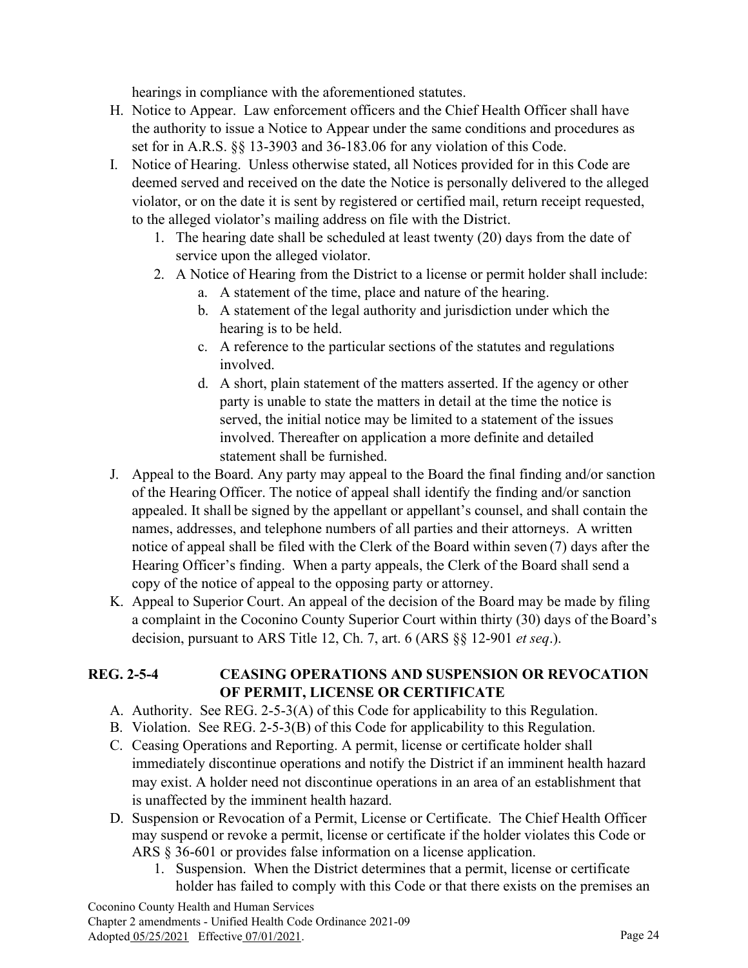hearings in compliance with the aforementioned statutes.

- H. Notice to Appear. Law enforcement officers and the Chief Health Officer shall have the authority to issue a Notice to Appear under the same conditions and procedures as set for in A.R.S. §§ 13-3903 and 36-183.06 for any violation of this Code.
- I. Notice of Hearing. Unless otherwise stated, all Notices provided for in this Code are deemed served and received on the date the Notice is personally delivered to the alleged violator, or on the date it is sent by registered or certified mail, return receipt requested, to the alleged violator's mailing address on file with the District.
	- 1. The hearing date shall be scheduled at least twenty (20) days from the date of service upon the alleged violator.
	- 2. A Notice of Hearing from the District to a license or permit holder shall include:
		- a. A statement of the time, place and nature of the hearing.
		- b. A statement of the legal authority and jurisdiction under which the hearing is to be held.
		- c. A reference to the particular sections of the statutes and regulations involved.
		- d. A short, plain statement of the matters asserted. If the agency or other party is unable to state the matters in detail at the time the notice is served, the initial notice may be limited to a statement of the issues involved. Thereafter on application a more definite and detailed statement shall be furnished.
- J. Appeal to the Board. Any party may appeal to the Board the final finding and/or sanction of the Hearing Officer. The notice of appeal shall identify the finding and/or sanction appealed. It shall be signed by the appellant or appellant's counsel, and shall contain the names, addresses, and telephone numbers of all parties and their attorneys. A written notice of appeal shall be filed with the Clerk of the Board within seven (7) days after the Hearing Officer's finding. When a party appeals, the Clerk of the Board shall send a copy of the notice of appeal to the opposing party or attorney.
- K. Appeal to Superior Court. An appeal of the decision of the Board may be made by filing a complaint in the Coconino County Superior Court within thirty (30) days of the Board's decision, pursuant to ARS Title 12, Ch. 7, art. 6 (ARS §§ 12-901 *et seq*.).

#### **REG. 2-5-4 CEASING OPERATIONS AND SUSPENSION OR REVOCATION OF PERMIT, LICENSE OR CERTIFICATE**

- A. Authority. See REG. 2-5-3(A) of this Code for applicability to this Regulation.
- B. Violation. See REG. 2-5-3(B) of this Code for applicability to this Regulation.
- C. Ceasing Operations and Reporting. A permit, license or certificate holder shall immediately discontinue operations and notify the District if an imminent health hazard may exist. A holder need not discontinue operations in an area of an establishment that is unaffected by the imminent health hazard.
- D. Suspension or Revocation of a Permit, License or Certificate. The Chief Health Officer may suspend or revoke a permit, license or certificate if the holder violates this Code or ARS § 36-601 or provides false information on a license application.
	- 1. Suspension. When the District determines that a permit, license or certificate holder has failed to comply with this Code or that there exists on the premises an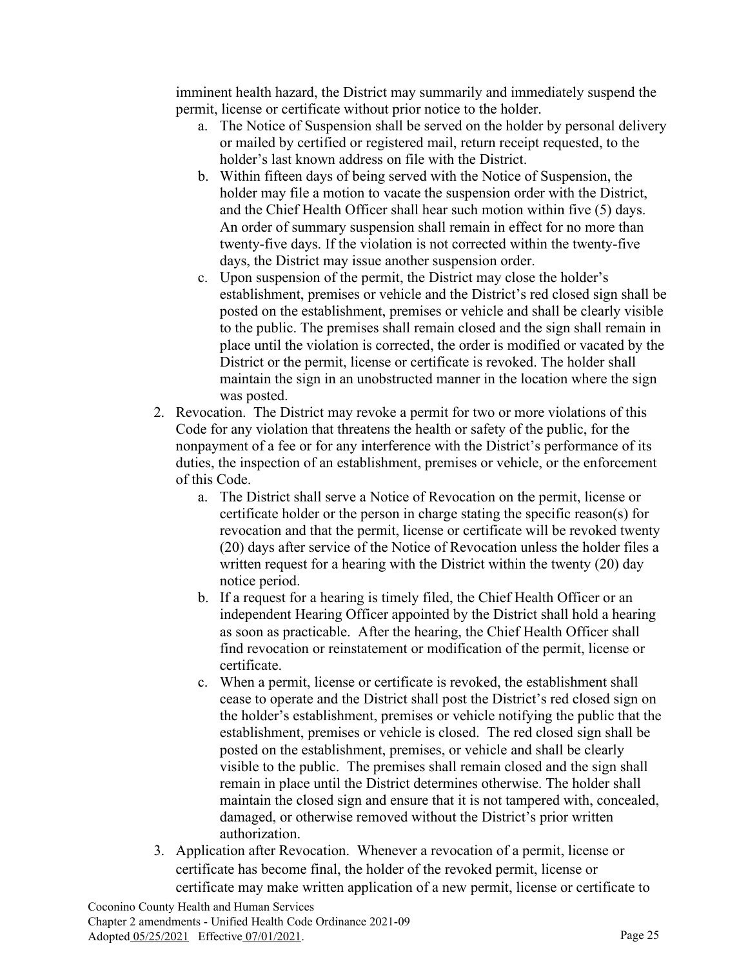imminent health hazard, the District may summarily and immediately suspend the permit, license or certificate without prior notice to the holder.

- a. The Notice of Suspension shall be served on the holder by personal delivery or mailed by certified or registered mail, return receipt requested, to the holder's last known address on file with the District.
- b. Within fifteen days of being served with the Notice of Suspension, the holder may file a motion to vacate the suspension order with the District, and the Chief Health Officer shall hear such motion within five (5) days. An order of summary suspension shall remain in effect for no more than twenty-five days. If the violation is not corrected within the twenty-five days, the District may issue another suspension order.
- c. Upon suspension of the permit, the District may close the holder's establishment, premises or vehicle and the District's red closed sign shall be posted on the establishment, premises or vehicle and shall be clearly visible to the public. The premises shall remain closed and the sign shall remain in place until the violation is corrected, the order is modified or vacated by the District or the permit, license or certificate is revoked. The holder shall maintain the sign in an unobstructed manner in the location where the sign was posted.
- 2. Revocation. The District may revoke a permit for two or more violations of this Code for any violation that threatens the health or safety of the public, for the nonpayment of a fee or for any interference with the District's performance of its duties, the inspection of an establishment, premises or vehicle, or the enforcement of this Code.
	- a. The District shall serve a Notice of Revocation on the permit, license or certificate holder or the person in charge stating the specific reason(s) for revocation and that the permit, license or certificate will be revoked twenty (20) days after service of the Notice of Revocation unless the holder files a written request for a hearing with the District within the twenty (20) day notice period.
	- b. If a request for a hearing is timely filed, the Chief Health Officer or an independent Hearing Officer appointed by the District shall hold a hearing as soon as practicable. After the hearing, the Chief Health Officer shall find revocation or reinstatement or modification of the permit, license or certificate.
	- c. When a permit, license or certificate is revoked, the establishment shall cease to operate and the District shall post the District's red closed sign on the holder's establishment, premises or vehicle notifying the public that the establishment, premises or vehicle is closed. The red closed sign shall be posted on the establishment, premises, or vehicle and shall be clearly visible to the public. The premises shall remain closed and the sign shall remain in place until the District determines otherwise. The holder shall maintain the closed sign and ensure that it is not tampered with, concealed, damaged, or otherwise removed without the District's prior written authorization.
- 3. Application after Revocation. Whenever a revocation of a permit, license or certificate has become final, the holder of the revoked permit, license or certificate may make written application of a new permit, license or certificate to